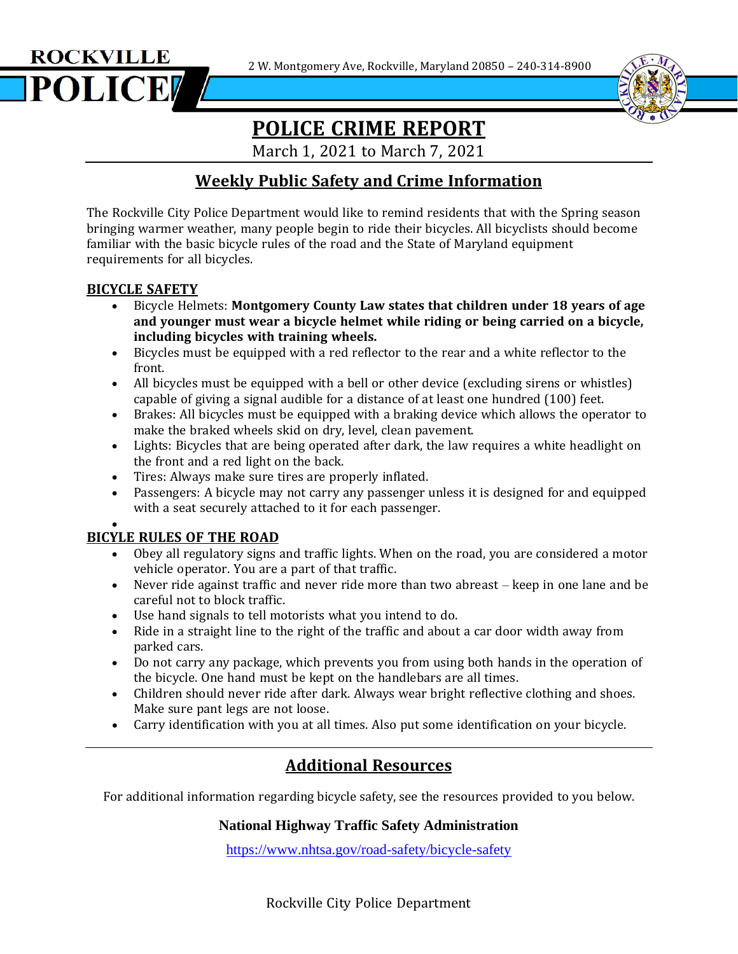2 W. Montgomery Ave, Rockville, Maryland 20850 – 240-314-8900





## **POLICE CRIME REPORT**

i<br>I

March 1, 2021 to March 7, 2021

## **Weekly Public Safety and Crime Information**

The Rockville City Police Department would like to remind residents that with the Spring season bringing warmer weather, many people begin to ride their bicycles. All bicyclists should become familiar with the basic bicycle rules of the road and the State of Maryland equipment requirements for all bicycles.

### **BICYCLE SAFETY**

- Bicycle Helmets: **Montgomery County Law states that children under 18 years of age and younger must wear a bicycle helmet while riding or being carried on a bicycle, including bicycles with training wheels.**
- Bicycles must be equipped with a red reflector to the rear and a white reflector to the front.
- All bicycles must be equipped with a bell or other device (excluding sirens or whistles) capable of giving a signal audible for a distance of at least one hundred (100) feet.
- Brakes: All bicycles must be equipped with a braking device which allows the operator to make the braked wheels skid on dry, level, clean pavement.
- Lights: Bicycles that are being operated after dark, the law requires a white headlight on the front and a red light on the back.
- Tires: Always make sure tires are properly inflated.
- Passengers: A bicycle may not carry any passenger unless it is designed for and equipped with a seat securely attached to it for each passenger.

#### • **BICYLE RULES OF THE ROAD**

- Obey all regulatory signs and traffic lights. When on the road, you are considered a motor vehicle operator. You are a part of that traffic.
- Never ride against traffic and never ride more than two abreast keep in one lane and be careful not to block traffic.
- Use hand signals to tell motorists what you intend to do.
- Ride in a straight line to the right of the traffic and about a car door width away from parked cars.
- Do not carry any package, which prevents you from using both hands in the operation of the bicycle. One hand must be kept on the handlebars are all times.
- Children should never ride after dark. Always wear bright reflective clothing and shoes. Make sure pant legs are not loose.
- Carry identification with you at all times. Also put some identification on your bicycle.

## **Additional Resources**

For additional information regarding bicycle safety, see the resources provided to you below.

### **National Highway Traffic Safety Administration**

<https://www.nhtsa.gov/road-safety/bicycle-safety>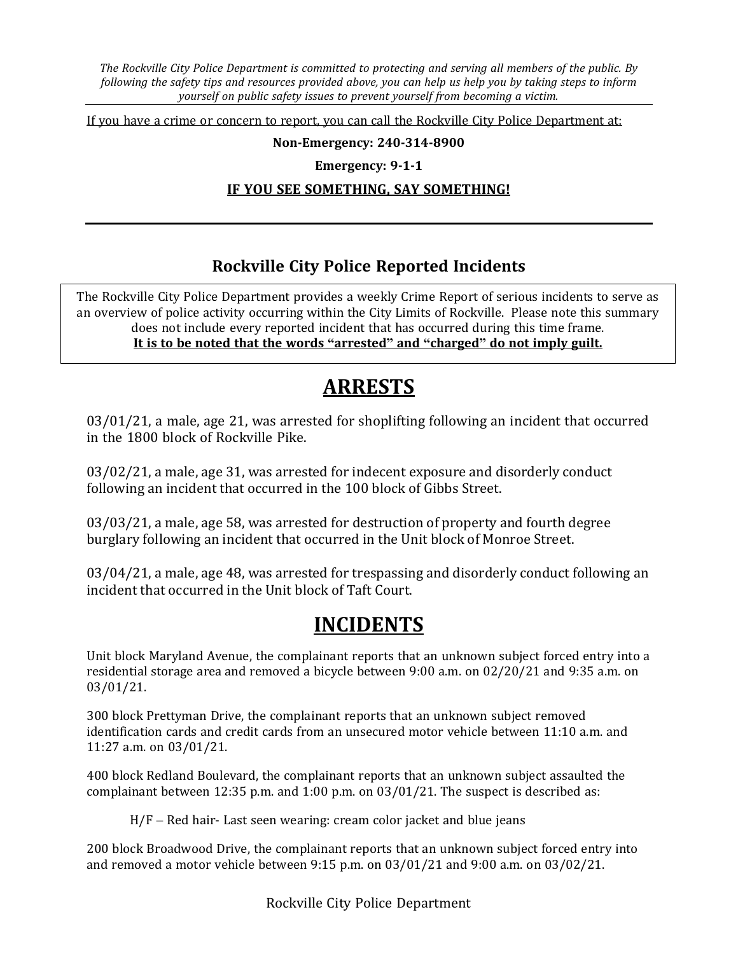*The Rockville City Police Department is committed to protecting and serving all members of the public. By* following the safety tips and resources provided above, you can help us help you by taking steps to inform *yourself on public safety issues to prevent yourself from becoming a victim.*

If you have a crime or concern to report, you can call the Rockville City Police Department at:

#### **Non-Emergency: 240-314-8900**

**Emergency: 9-1-1**

#### **IF YOU SEE SOMETHING, SAY SOMETHING!**

### **Rockville City Police Reported Incidents**

 $\overline{a}$ The Rockville City Police Department provides a weekly Crime Report of serious incidents to serve as an overview of police activity occurring within the City Limits of Rockville. Please note this summary does not include every reported incident that has occurred during this time frame. **It is to be noted that the words "arrested" and "charged" do not imply guilt.**

# **ARRESTS**

03/01/21, a male, age 21, was arrested for shoplifting following an incident that occurred in the 1800 block of Rockville Pike.

03/02/21, a male, age 31, was arrested for indecent exposure and disorderly conduct following an incident that occurred in the 100 block of Gibbs Street.

03/03/21, a male, age 58, was arrested for destruction of property and fourth degree burglary following an incident that occurred in the Unit block of Monroe Street.

03/04/21, a male, age 48, was arrested for trespassing and disorderly conduct following an incident that occurred in the Unit block of Taft Court.

## **INCIDENTS**

Unit block Maryland Avenue, the complainant reports that an unknown subject forced entry into a residential storage area and removed a bicycle between 9:00 a.m. on 02/20/21 and 9:35 a.m. on 03/01/21.

300 block Prettyman Drive, the complainant reports that an unknown subject removed identification cards and credit cards from an unsecured motor vehicle between 11:10 a.m. and 11:27 a.m. on 03/01/21.

400 block Redland Boulevard, the complainant reports that an unknown subject assaulted the complainant between 12:35 p.m. and 1:00 p.m. on 03/01/21. The suspect is described as:

H/F – Red hair- Last seen wearing: cream color jacket and blue jeans

200 block Broadwood Drive, the complainant reports that an unknown subject forced entry into and removed a motor vehicle between 9:15 p.m. on 03/01/21 and 9:00 a.m. on 03/02/21.

Rockville City Police Department